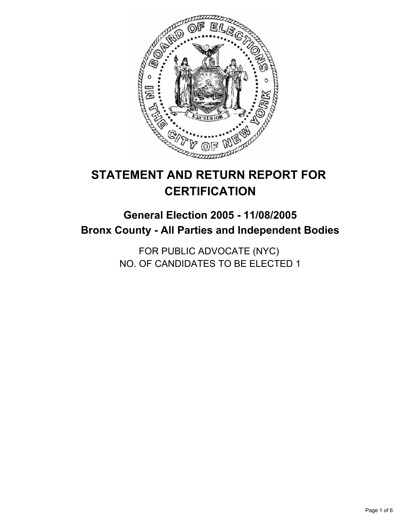

# **STATEMENT AND RETURN REPORT FOR CERTIFICATION**

## **General Election 2005 - 11/08/2005 Bronx County - All Parties and Independent Bodies**

FOR PUBLIC ADVOCATE (NYC) NO. OF CANDIDATES TO BE ELECTED 1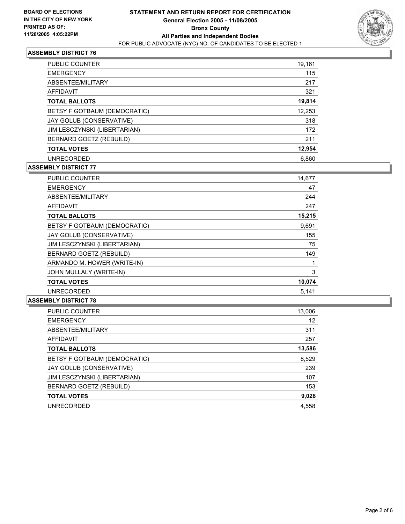

| PUBLIC COUNTER               | 19,161 |
|------------------------------|--------|
| <b>EMERGENCY</b>             | 115    |
| ABSENTEE/MILITARY            | 217    |
| AFFIDAVIT                    | 321    |
| <b>TOTAL BALLOTS</b>         | 19,814 |
| BETSY F GOTBAUM (DEMOCRATIC) | 12,253 |
| JAY GOLUB (CONSERVATIVE)     | 318    |
| JIM LESCZYNSKI (LIBERTARIAN) | 172    |
| BERNARD GOETZ (REBUILD)      | 211    |
| <b>TOTAL VOTES</b>           | 12,954 |
| <b>UNRECORDED</b>            | 6.860  |

#### **ASSEMBLY DISTRICT 77**

| <b>PUBLIC COUNTER</b>        | 14,677 |
|------------------------------|--------|
| <b>EMERGENCY</b>             | 47     |
| ABSENTEE/MILITARY            | 244    |
| <b>AFFIDAVIT</b>             | 247    |
| <b>TOTAL BALLOTS</b>         | 15,215 |
| BETSY F GOTBAUM (DEMOCRATIC) | 9.691  |
| JAY GOLUB (CONSERVATIVE)     | 155    |
| JIM LESCZYNSKI (LIBERTARIAN) | 75     |
| BERNARD GOETZ (REBUILD)      | 149    |
| ARMANDO M. HOWER (WRITE-IN)  |        |
| JOHN MULLALY (WRITE-IN)      | 3      |
| <b>TOTAL VOTES</b>           | 10,074 |
| <b>UNRECORDED</b>            | 5,141  |

| PUBLIC COUNTER               | 13,006 |
|------------------------------|--------|
| <b>EMERGENCY</b>             | 12     |
| ABSENTEE/MILITARY            | 311    |
| <b>AFFIDAVIT</b>             | 257    |
| <b>TOTAL BALLOTS</b>         | 13,586 |
| BETSY F GOTBAUM (DEMOCRATIC) | 8,529  |
| JAY GOLUB (CONSERVATIVE)     | 239    |
| JIM LESCZYNSKI (LIBERTARIAN) | 107    |
| BERNARD GOETZ (REBUILD)      | 153    |
| <b>TOTAL VOTES</b>           | 9,028  |
| <b>UNRECORDED</b>            | 4,558  |
|                              |        |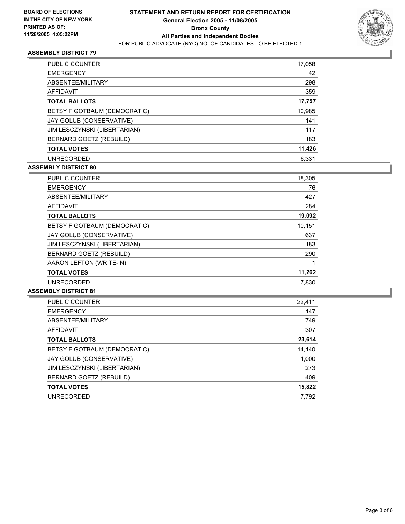

| PUBLIC COUNTER               | 17,058 |  |
|------------------------------|--------|--|
| <b>EMERGENCY</b>             | 42     |  |
| ABSENTEE/MILITARY            | 298    |  |
| AFFIDAVIT                    | 359    |  |
| <b>TOTAL BALLOTS</b>         | 17,757 |  |
| BETSY F GOTBAUM (DEMOCRATIC) | 10,985 |  |
| JAY GOLUB (CONSERVATIVE)     | 141    |  |
| JIM LESCZYNSKI (LIBERTARIAN) | 117    |  |
| BERNARD GOETZ (REBUILD)      | 183    |  |
| <b>TOTAL VOTES</b>           | 11,426 |  |
| <b>UNRECORDED</b>            | 6,331  |  |

#### **ASSEMBLY DISTRICT 80**

| <b>PUBLIC COUNTER</b>        | 18,305 |
|------------------------------|--------|
| <b>EMERGENCY</b>             | 76     |
| ABSENTEE/MILITARY            | 427    |
| <b>AFFIDAVIT</b>             | 284    |
| <b>TOTAL BALLOTS</b>         | 19,092 |
| BETSY F GOTBAUM (DEMOCRATIC) | 10,151 |
| JAY GOLUB (CONSERVATIVE)     | 637    |
| JIM LESCZYNSKI (LIBERTARIAN) | 183    |
| BERNARD GOETZ (REBUILD)      | 290    |
| AARON LEFTON (WRITE-IN)      |        |
| <b>TOTAL VOTES</b>           | 11,262 |
| <b>UNRECORDED</b>            | 7.830  |

| PUBLIC COUNTER               | 22,411 |
|------------------------------|--------|
| <b>EMERGENCY</b>             | 147    |
| ABSENTEE/MILITARY            | 749    |
| AFFIDAVIT                    | 307    |
| <b>TOTAL BALLOTS</b>         | 23,614 |
| BETSY F GOTBAUM (DEMOCRATIC) | 14,140 |
| JAY GOLUB (CONSERVATIVE)     | 1,000  |
| JIM LESCZYNSKI (LIBERTARIAN) | 273    |
| BERNARD GOETZ (REBUILD)      | 409    |
| <b>TOTAL VOTES</b>           | 15,822 |
| <b>UNRECORDED</b>            | 7.792  |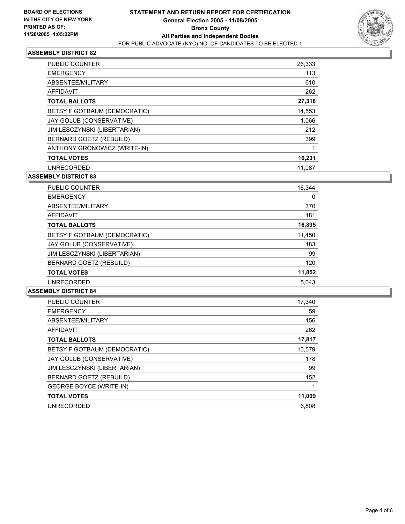

| PUBLIC COUNTER               | 26,333 |
|------------------------------|--------|
| <b>EMERGENCY</b>             | 113    |
| ABSENTEE/MILITARY            | 610    |
| <b>AFFIDAVIT</b>             | 262    |
| <b>TOTAL BALLOTS</b>         | 27,318 |
| BETSY F GOTBAUM (DEMOCRATIC) | 14,553 |
| JAY GOLUB (CONSERVATIVE)     | 1,066  |
| JIM LESCZYNSKI (LIBERTARIAN) | 212    |
| BERNARD GOETZ (REBUILD)      | 399    |
| ANTHONY GRONOWICZ (WRITE-IN) |        |
| <b>TOTAL VOTES</b>           | 16,231 |
| <b>UNRECORDED</b>            | 11.087 |

**ASSEMBLY DISTRICT 83**

| <b>PUBLIC COUNTER</b>        | 16,344 |  |
|------------------------------|--------|--|
| <b>EMERGENCY</b>             | 0      |  |
| ABSENTEE/MILITARY            | 370    |  |
| <b>AFFIDAVIT</b>             | 181    |  |
| <b>TOTAL BALLOTS</b>         | 16,895 |  |
| BETSY F GOTBAUM (DEMOCRATIC) | 11,450 |  |
| JAY GOLUB (CONSERVATIVE)     | 183    |  |
| JIM LESCZYNSKI (LIBERTARIAN) | 99     |  |
| BERNARD GOETZ (REBUILD)      | 120    |  |
| <b>TOTAL VOTES</b>           | 11,852 |  |
| <b>UNRECORDED</b>            | 5,043  |  |

| <b>PUBLIC COUNTER</b>          | 17,340 |
|--------------------------------|--------|
| <b>EMERGENCY</b>               | 59     |
| ABSENTEE/MILITARY              | 156    |
| <b>AFFIDAVIT</b>               | 262    |
| <b>TOTAL BALLOTS</b>           | 17,817 |
| BETSY F GOTBAUM (DEMOCRATIC)   | 10,579 |
| JAY GOLUB (CONSERVATIVE)       | 178    |
| JIM LESCZYNSKI (LIBERTARIAN)   | 99     |
| BERNARD GOETZ (REBUILD)        | 152    |
| <b>GEORGE BOYCE (WRITE-IN)</b> |        |
| <b>TOTAL VOTES</b>             | 11,009 |
| <b>UNRECORDED</b>              | 6.808  |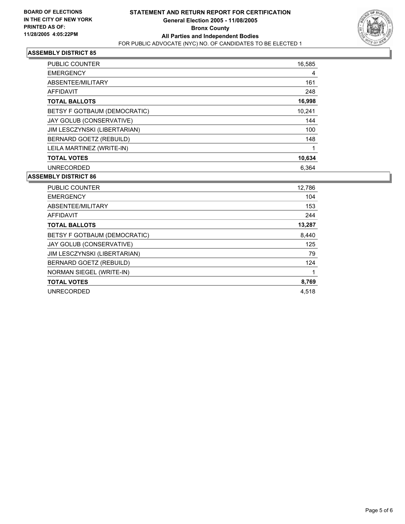

| PUBLIC COUNTER               | 16,585 |
|------------------------------|--------|
| <b>EMERGENCY</b>             | 4      |
| ABSENTEE/MILITARY            | 161    |
| <b>AFFIDAVIT</b>             | 248    |
| <b>TOTAL BALLOTS</b>         | 16,998 |
| BETSY F GOTBAUM (DEMOCRATIC) | 10,241 |
| JAY GOLUB (CONSERVATIVE)     | 144    |
| JIM LESCZYNSKI (LIBERTARIAN) | 100    |
| BERNARD GOETZ (REBUILD)      | 148    |
| LEILA MARTINEZ (WRITE-IN)    |        |
| <b>TOTAL VOTES</b>           | 10,634 |
| <b>UNRECORDED</b>            | 6.364  |

| <b>PUBLIC COUNTER</b>        | 12,786 |
|------------------------------|--------|
| <b>EMERGENCY</b>             | 104    |
| ABSENTEE/MILITARY            | 153    |
| AFFIDAVIT                    | 244    |
| <b>TOTAL BALLOTS</b>         | 13,287 |
| BETSY F GOTBAUM (DEMOCRATIC) | 8,440  |
| JAY GOLUB (CONSERVATIVE)     | 125    |
| JIM LESCZYNSKI (LIBERTARIAN) | 79     |
| BERNARD GOETZ (REBUILD)      | 124    |
| NORMAN SIEGEL (WRITE-IN)     |        |
| <b>TOTAL VOTES</b>           | 8,769  |
| <b>UNRECORDED</b>            | 4,518  |